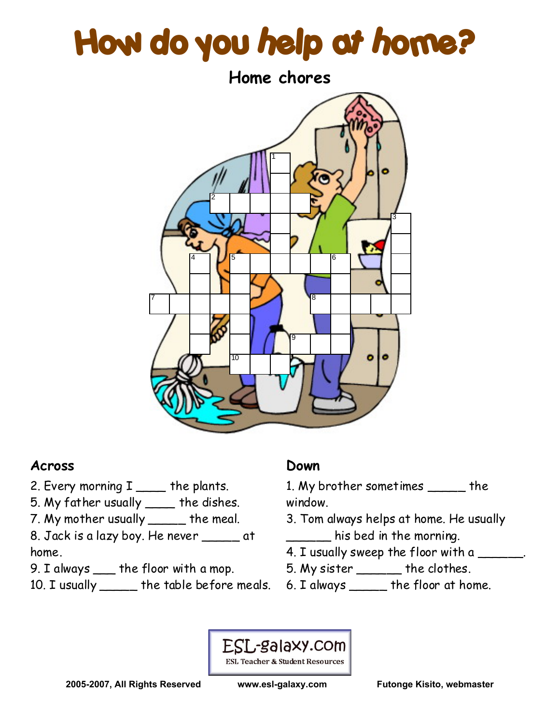# How do you help at home?



### **Across**

- 2. Every morning  $I$  \_\_\_\_ the plants.
- 5. My father usually \_\_\_\_ the dishes.
- 7. My mother usually \_\_\_\_\_ the meal.
- 8. Jack is a lazy boy. He never \_\_\_\_\_ at home.
- 9. I always \_\_\_ the floor with a mop.
- 10. I usually \_\_\_\_\_ the table before meals.

## **Down**

- 1. My brother sometimes \_\_\_\_\_ the window.
- 3. Tom always helps at home. He usually \_\_\_\_\_\_ his bed in the morning.
- 4. I usually sweep the floor with a \_\_\_\_\_\_.
- 5. My sister \_\_\_\_\_\_ the clothes.
- 6. I always \_\_\_\_\_ the floor at home.

#### ESL-galaxy.com **ESL Teacher & Student Resources**

**2005-2007, All Rights Reserved www.esl-galaxy.com Futonge Kisito, webmaster**